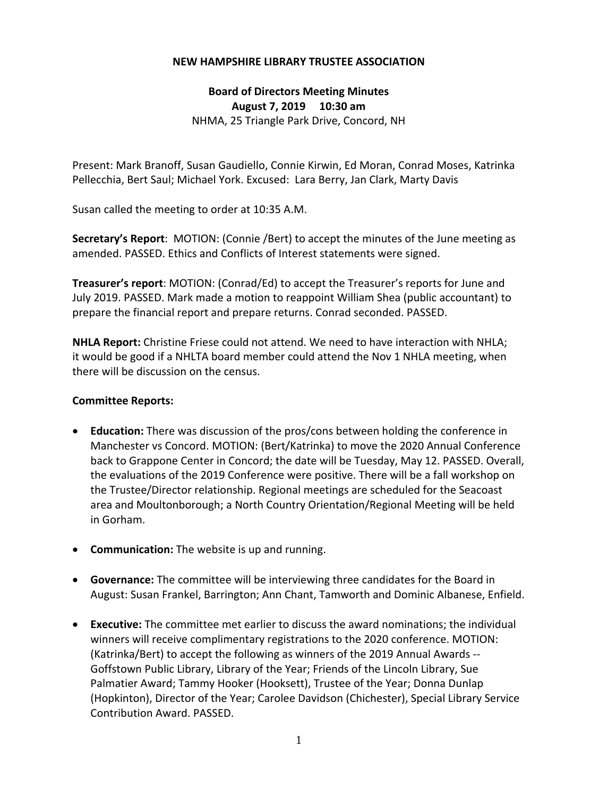## **NEW HAMPSHIRE LIBRARY TRUSTEE ASSOCIATION**

**Board of Directors Meeting Minutes August 7, 2019 10:30 am** NHMA, 25 Triangle Park Drive, Concord, NH

Present: Mark Branoff, Susan Gaudiello, Connie Kirwin, Ed Moran, Conrad Moses, Katrinka Pellecchia, Bert Saul; Michael York. Excused: Lara Berry, Jan Clark, Marty Davis

Susan called the meeting to order at 10:35 A.M.

**Secretary's Report**: MOTION: (Connie /Bert) to accept the minutes of the June meeting as amended. PASSED. Ethics and Conflicts of Interest statements were signed.

**Treasurer's report**: MOTION: (Conrad/Ed) to accept the Treasurer's reports for June and July 2019. PASSED. Mark made a motion to reappoint William Shea (public accountant) to prepare the financial report and prepare returns. Conrad seconded. PASSED.

**NHLA Report:** Christine Friese could not attend. We need to have interaction with NHLA; it would be good if a NHLTA board member could attend the Nov 1 NHLA meeting, when there will be discussion on the census.

## **Committee Reports:**

- **Education:** There was discussion of the pros/cons between holding the conference in Manchester vs Concord. MOTION: (Bert/Katrinka) to move the 2020 Annual Conference back to Grappone Center in Concord; the date will be Tuesday, May 12. PASSED. Overall, the evaluations of the 2019 Conference were positive. There will be a fall workshop on the Trustee/Director relationship. Regional meetings are scheduled for the Seacoast area and Moultonborough; a North Country Orientation/Regional Meeting will be held in Gorham.
- **Communication:** The website is up and running.
- **Governance:** The committee will be interviewing three candidates for the Board in August: Susan Frankel, Barrington; Ann Chant, Tamworth and Dominic Albanese, Enfield.
- **Executive:** The committee met earlier to discuss the award nominations; the individual winners will receive complimentary registrations to the 2020 conference. MOTION: (Katrinka/Bert) to accept the following as winners of the 2019 Annual Awards ‐‐ Goffstown Public Library, Library of the Year; Friends of the Lincoln Library, Sue Palmatier Award; Tammy Hooker (Hooksett), Trustee of the Year; Donna Dunlap (Hopkinton), Director of the Year; Carolee Davidson (Chichester), Special Library Service Contribution Award. PASSED.